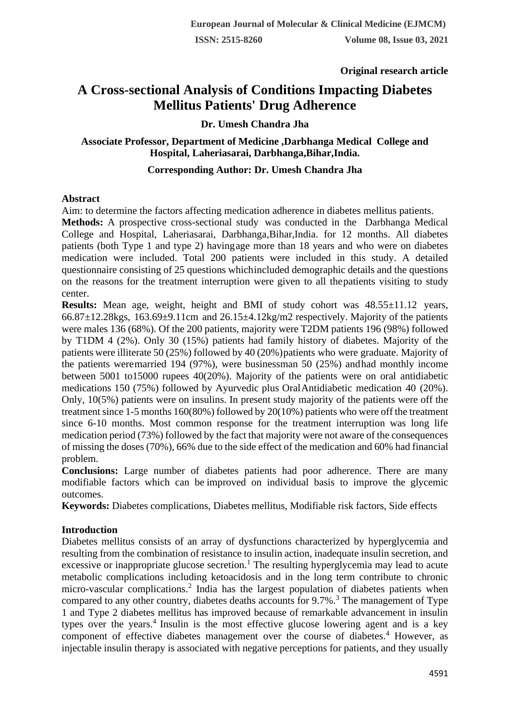**Original research article** 

# **A Cross-sectional Analysis of Conditions Impacting Diabetes Mellitus Patients' Drug Adherence**

# **Dr. Umesh Chandra Jha**

# **Associate Professor, Department of Medicine ,Darbhanga Medical College and Hospital, Laheriasarai, Darbhanga,Bihar,India.**

# **Corresponding Author: Dr. Umesh Chandra Jha**

### **Abstract**

Aim: to determine the factors affecting medication adherence in diabetes mellitus patients.

**Methods:** A prospective cross-sectional study was conducted in the Darbhanga Medical College and Hospital, Laheriasarai, Darbhanga,Bihar,India. for 12 months. All diabetes patients (both Type 1 and type 2) havingage more than 18 years and who were on diabetes medication were included. Total 200 patients were included in this study. A detailed questionnaire consisting of 25 questions whichincluded demographic details and the questions on the reasons for the treatment interruption were given to all thepatients visiting to study center.

**Results:** Mean age, weight, height and BMI of study cohort was  $48.55 \pm 11.12$  years,  $66.87\pm12.28$ kgs,  $163.69\pm9.11$ cm and  $26.15\pm4.12$ kg/m2 respectively. Majority of the patients were males 136 (68%). Of the 200 patients, majority were T2DM patients 196 (98%) followed by T1DM 4 (2%). Only 30 (15%) patients had family history of diabetes. Majority of the patients were illiterate 50 (25%) followed by 40 (20%)patients who were graduate. Majority of the patients weremarried 194 (97%), were businessman 50 (25%) andhad monthly income between 5001 to15000 rupees 40(20%). Majority of the patients were on oral antidiabetic medications 150 (75%) followed by Ayurvedic plus OralAntidiabetic medication 40 (20%). Only, 10(5%) patients were on insulins. In present study majority of the patients were off the treatment since 1-5 months 160(80%) followed by 20(10%) patients who were off the treatment since 6-10 months. Most common response for the treatment interruption was long life medication period (73%) followed by the fact that majority were not aware of the consequences of missing the doses (70%), 66% due to the side effect of the medication and 60% had financial problem.

**Conclusions:** Large number of diabetes patients had poor adherence. There are many modifiable factors which can be improved on individual basis to improve the glycemic outcomes.

**Keywords:** Diabetes complications, Diabetes mellitus, Modifiable risk factors, Side effects

# **Introduction**

Diabetes mellitus consists of an array of dysfunctions characterized by hyperglycemia and resulting from the combination of resistance to insulin action, inadequate insulin secretion, and excessive or inappropriate glucose secretion.<sup>1</sup> The resulting hyperglycemia may lead to acute metabolic complications including ketoacidosis and in the long term contribute to chronic micro-vascular complications.<sup>2</sup> India has the largest population of diabetes patients when compared to any other country, diabetes deaths accounts for  $9.7\%$ <sup>3</sup>. The management of Type 1 and Type 2 diabetes mellitus has improved because of remarkable advancement in insulin types over the years.<sup>4</sup> Insulin is the most effective glucose lowering agent and is a key component of effective diabetes management over the course of diabetes.<sup>4</sup> However, as injectable insulin therapy is associated with negative perceptions for patients, and they usually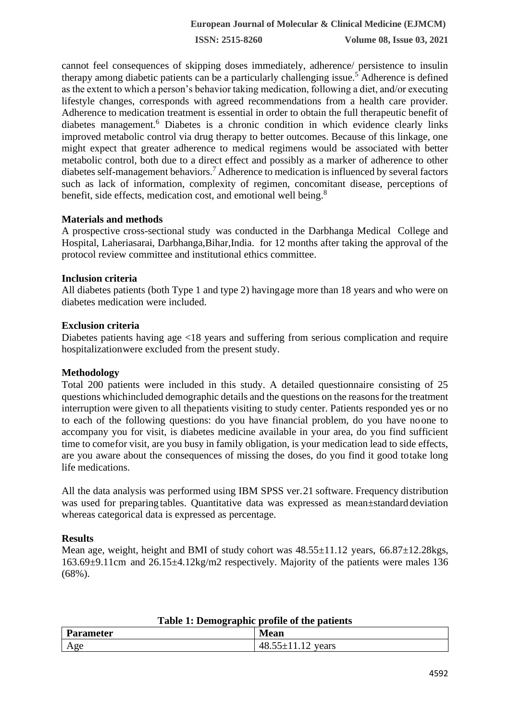**ISSN: 2515-8260 Volume 08, Issue 03, 2021**

cannot feel consequences of skipping doses immediately, adherence/ persistence to insulin therapy among diabetic patients can be a particularly challenging issue.<sup>5</sup> Adherence is defined as the extent to which a person's behavior taking medication, following a diet, and/or executing lifestyle changes, corresponds with agreed recommendations from a health care provider. Adherence to medication treatment is essential in order to obtain the full therapeutic benefit of diabetes management.<sup>6</sup> Diabetes is a chronic condition in which evidence clearly links improved metabolic control via drug therapy to better outcomes. Because of this linkage, one might expect that greater adherence to medical regimens would be associated with better metabolic control, both due to a direct effect and possibly as a marker of adherence to other diabetes self-management behaviors.<sup>7</sup> Adherence to medication is influenced by several factors such as lack of information, complexity of regimen, concomitant disease, perceptions of benefit, side effects, medication cost, and emotional well being.<sup>8</sup>

#### **Materials and methods**

A prospective cross-sectional study was conducted in the Darbhanga Medical College and Hospital, Laheriasarai, Darbhanga,Bihar,India. for 12 months after taking the approval of the protocol review committee and institutional ethics committee.

### **Inclusion criteria**

All diabetes patients (both Type 1 and type 2) havingage more than 18 years and who were on diabetes medication were included.

### **Exclusion criteria**

Diabetes patients having age <18 years and suffering from serious complication and require hospitalizationwere excluded from the present study.

# **Methodology**

Total 200 patients were included in this study. A detailed questionnaire consisting of 25 questions whichincluded demographic details and the questions on the reasonsfor the treatment interruption were given to all thepatients visiting to study center. Patients responded yes or no to each of the following questions: do you have financial problem, do you have noone to accompany you for visit, is diabetes medicine available in your area, do you find sufficient time to comefor visit, are you busy in family obligation, is your medication lead to side effects, are you aware about the consequences of missing the doses, do you find it good totake long life medications.

All the data analysis was performed using IBM SPSS ver.21 software. Frequency distribution was used for preparing tables. Quantitative data was expressed as mean $\pm$ standard deviation whereas categorical data is expressed as percentage.

# **Results**

Mean age, weight, height and BMI of study cohort was  $48.55\pm11.12$  years,  $66.87\pm12.28$ kgs, 163.69±9.11cm and 26.15±4.12kg/m2 respectively. Majority of the patients were males 136 (68%).

| Table 1: Demographic profile of the patients |                         |  |  |
|----------------------------------------------|-------------------------|--|--|
| <b>Parameter</b>                             | Mean                    |  |  |
| Age                                          | $48.55 \pm 11.12$ years |  |  |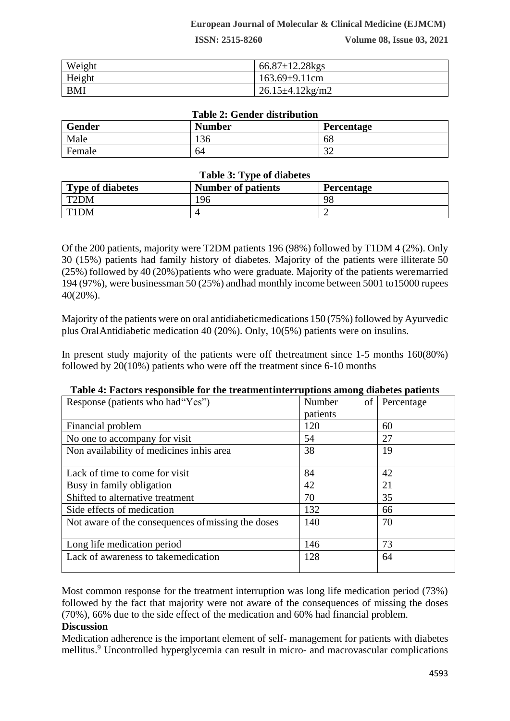**ISSN: 2515-8260 Volume 08, Issue 03, 2021**

| Weight     | $66.87 \pm 12.28$ kgs         |
|------------|-------------------------------|
| Height     | $163.69 \pm 9.11$ cm          |
| <b>BMI</b> | $26.15 \pm 4.12 \text{kg/m2}$ |

#### **Table 2: Gender distribution**

| Gender | <b>Number</b> | Percentage    |
|--------|---------------|---------------|
| Male   | 136           | 68            |
| Female | 64            | $\sim$<br>ے ر |

#### **Table 3: Type of diabetes**

| <b>Type of diabetes</b> | <b>Number of patients</b> | <b>Percentage</b> |
|-------------------------|---------------------------|-------------------|
| T <sub>2</sub> DM       | 196                       | 98                |
| T1DM                    |                           |                   |

Of the 200 patients, majority were T2DM patients 196 (98%) followed by T1DM 4 (2%). Only 30 (15%) patients had family history of diabetes. Majority of the patients were illiterate 50 (25%) followed by 40 (20%)patients who were graduate. Majority of the patients weremarried 194 (97%), were businessman 50 (25%) andhad monthly income between 5001 to15000 rupees 40(20%).

Majority of the patients were on oral antidiabeticmedications 150 (75%) followed by Ayurvedic plus OralAntidiabetic medication 40 (20%). Only, 10(5%) patients were on insulins.

In present study majority of the patients were off thetreatment since 1-5 months 160(80%) followed by 20(10%) patients who were off the treatment since 6-10 months

|                                                    | o            |            |
|----------------------------------------------------|--------------|------------|
| Response (patients who had "Yes")                  | Number<br>of | Percentage |
|                                                    | patients     |            |
| Financial problem                                  | 120          | 60         |
| No one to accompany for visit                      | 54           | 27         |
| Non availability of medicines inhis area           | 38           | 19         |
|                                                    |              |            |
| Lack of time to come for visit                     | 84           | 42         |
| Busy in family obligation                          | 42           | 21         |
| Shifted to alternative treatment                   | 70           | 35         |
| Side effects of medication                         | 132          | 66         |
| Not aware of the consequences of missing the doses | 140          | 70         |
|                                                    |              |            |
| Long life medication period                        | 146          | 73         |
| Lack of awareness to takemedication                | 128          | 64         |
|                                                    |              |            |

| Table 4: Factors responsible for the treatment interruptions among diabetes patients |  |  |  |
|--------------------------------------------------------------------------------------|--|--|--|
|                                                                                      |  |  |  |

Most common response for the treatment interruption was long life medication period (73%) followed by the fact that majority were not aware of the consequences of missing the doses (70%), 66% due to the side effect of the medication and 60% had financial problem.

#### **Discussion**

Medication adherence is the important element of self- management for patients with diabetes mellitus.<sup>9</sup> Uncontrolled hyperglycemia can result in micro- and macrovascular complications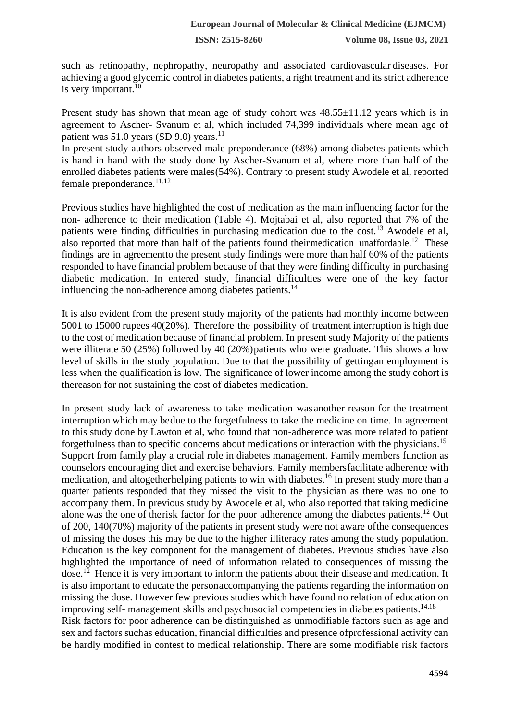such as retinopathy, nephropathy, neuropathy and associated cardiovascular diseases. For achieving a good glycemic control in diabetes patients, a right treatment and its strict adherence is very important. $10$ 

Present study has shown that mean age of study cohort was  $48.55 \pm 11.12$  years which is in agreement to Ascher- Svanum et al, which included 74,399 individuals where mean age of patient was  $51.0$  years (SD 9.0) years.<sup>11</sup>

In present study authors observed male preponderance (68%) among diabetes patients which is hand in hand with the study done by Ascher-Svanum et al, where more than half of the enrolled diabetes patients were males(54%). Contrary to present study Awodele et al, reported female preponderance. $11,12$ 

Previous studies have highlighted the cost of medication as the main influencing factor for the non- adherence to their medication (Table 4). Mojtabai et al, also reported that 7% of the patients were finding difficulties in purchasing medication due to the cost.<sup>13</sup> Awodele et al, also reported that more than half of the patients found their medication unaffordable.<sup>12</sup> These findings are in agreementto the present study findings were more than half 60% of the patients responded to have financial problem because of that they were finding difficulty in purchasing diabetic medication. In entered study, financial difficulties were one of the key factor influencing the non-adherence among diabetes patients. $^{14}$ 

It is also evident from the present study majority of the patients had monthly income between 5001 to 15000 rupees 40(20%). Therefore the possibility of treatment interruption is high due to the cost of medication because of financial problem. In present study Majority of the patients were illiterate 50 (25%) followed by 40 (20%)patients who were graduate. This shows a low level of skills in the study population. Due to that the possibility of gettingan employment is less when the qualification is low. The significance of lower income among the study cohort is thereason for not sustaining the cost of diabetes medication.

In present study lack of awareness to take medication was another reason for the treatment interruption which may bedue to the forgetfulness to take the medicine on time. In agreement to this study done by Lawton et al, who found that non-adherence was more related to patient forgetfulness than to specific concerns about medications or interaction with the physicians.<sup>15</sup> Support from family play a crucial role in diabetes management. Family members function as counselors encouraging diet and exercise behaviors. Family membersfacilitate adherence with medication, and altogetherhelping patients to win with diabetes.<sup>16</sup> In present study more than a quarter patients responded that they missed the visit to the physician as there was no one to accompany them. In previous study by Awodele et al, who also reported that taking medicine alone was the one of therisk factor for the poor adherence among the diabetes patients.<sup>12</sup> Out of 200, 140(70%) majority of the patients in present study were not aware ofthe consequences of missing the doses this may be due to the higher illiteracy rates among the study population. Education is the key component for the management of diabetes. Previous studies have also highlighted the importance of need of information related to consequences of missing the dose.<sup>12</sup> Hence it is very important to inform the patients about their disease and medication. It is also important to educate the personaccompanying the patients regarding the information on missing the dose. However few previous studies which have found no relation of education on improving self- management skills and psychosocial competencies in diabetes patients.<sup>14,18</sup> Risk factors for poor adherence can be distinguished as unmodifiable factors such as age and sex and factors suchas education, financial difficulties and presence ofprofessional activity can be hardly modified in contest to medical relationship. There are some modifiable risk factors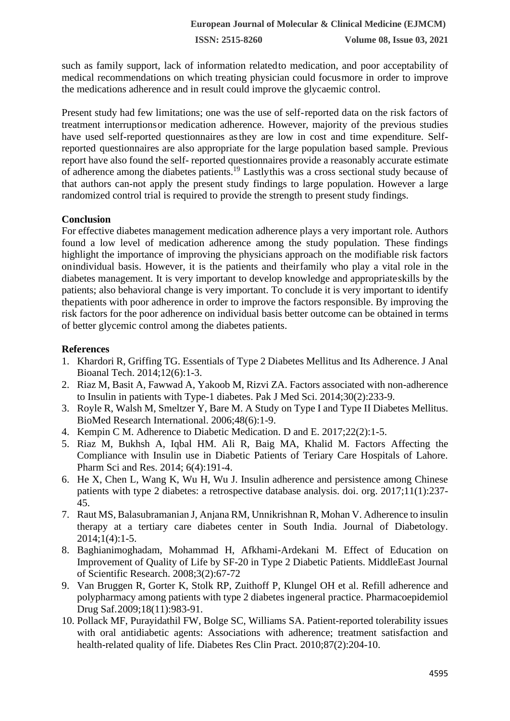**ISSN: 2515-8260 Volume 08, Issue 03, 2021**

such as family support, lack of information relatedto medication, and poor acceptability of medical recommendations on which treating physician could focusmore in order to improve the medications adherence and in result could improve the glycaemic control.

Present study had few limitations; one was the use of self-reported data on the risk factors of treatment interruptionsor medication adherence. However, majority of the previous studies have used self-reported questionnaires asthey are low in cost and time expenditure. Selfreported questionnaires are also appropriate for the large population based sample. Previous report have also found the self- reported questionnaires provide a reasonably accurate estimate of adherence among the diabetes patients.<sup>19</sup> Lastlythis was a cross sectional study because of that authors can-not apply the present study findings to large population. However a large randomized control trial is required to provide the strength to present study findings.

#### **Conclusion**

For effective diabetes management medication adherence plays a very important role. Authors found a low level of medication adherence among the study population. These findings highlight the importance of improving the physicians approach on the modifiable risk factors onindividual basis. However, it is the patients and theirfamily who play a vital role in the diabetes management. It is very important to develop knowledge and appropriateskills by the patients; also behavioral change is very important. To conclude it is very important to identify thepatients with poor adherence in order to improve the factors responsible. By improving the risk factors for the poor adherence on individual basis better outcome can be obtained in terms of better glycemic control among the diabetes patients.

### **References**

- 1. Khardori R, Griffing TG. Essentials of Type 2 Diabetes Mellitus and Its Adherence. J Anal Bioanal Tech. 2014;12(6):1-3.
- 2. Riaz M, Basit A, Fawwad A, Yakoob M, Rizvi ZA. Factors associated with non-adherence to Insulin in patients with Type-1 diabetes. Pak J Med Sci. 2014;30(2):233-9.
- 3. Royle R, Walsh M, Smeltzer Y, Bare M. A Study on Type I and Type II Diabetes Mellitus. BioMed Research International. 2006;48(6):1-9.
- 4. Kempin C M. Adherence to Diabetic Medication. D and E. 2017;22(2):1-5.
- 5. Riaz M, Bukhsh A, Iqbal HM. Ali R, Baig MA, Khalid M. Factors Affecting the Compliance with Insulin use in Diabetic Patients of Teriary Care Hospitals of Lahore. Pharm Sci and Res. 2014; 6(4):191-4.
- 6. He X, Chen L, Wang K, Wu H, Wu J. Insulin adherence and persistence among Chinese patients with type 2 diabetes: a retrospective database analysis. doi. org. 2017;11(1):237- 45.
- 7. Raut MS, Balasubramanian J, Anjana RM, Unnikrishnan R, Mohan V. Adherence to insulin therapy at a tertiary care diabetes center in South India. Journal of Diabetology. 2014;1(4):1-5.
- 8. Baghianimoghadam, Mohammad H, Afkhami-Ardekani M. Effect of Education on Improvement of Quality of Life by SF-20 in Type 2 Diabetic Patients. MiddleEast Journal of Scientific Research. 2008;3(2):67-72
- 9. Van Bruggen R, Gorter K, Stolk RP, Zuithoff P, Klungel OH et al. Refill adherence and polypharmacy among patients with type 2 diabetes ingeneral practice. Pharmacoepidemiol Drug Saf.2009;18(11):983-91.
- 10. Pollack MF, Purayidathil FW, Bolge SC, Williams SA. Patient-reported tolerability issues with oral antidiabetic agents: Associations with adherence; treatment satisfaction and health-related quality of life. Diabetes Res Clin Pract. 2010;87(2):204-10.